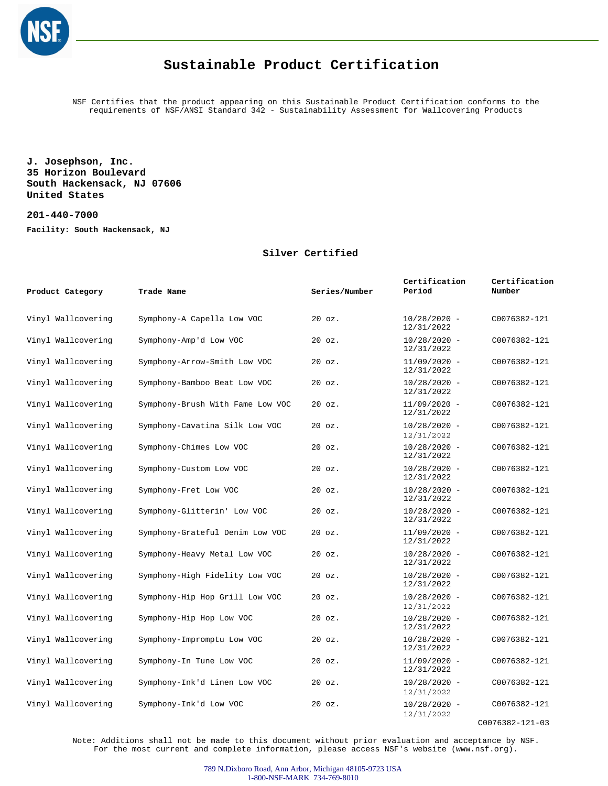

NSF Certifies that the product appearing on this Sustainable Product Certification conforms to the requirements of NSF/ANSI Standard 342 - Sustainability Assessment for Wallcovering Products

**J. Josephson, Inc. 35 Horizon Boulevard South Hackensack, NJ 07606 United States**

**201-440-7000 Facility: South Hackensack, NJ**

#### **Silver Certified**

| Product Category   | Trade Name                       | Series/Number | Certification<br>Period      | Certification<br>Number |
|--------------------|----------------------------------|---------------|------------------------------|-------------------------|
| Vinyl Wallcovering | Symphony-A Capella Low VOC       | $20$ $oz.$    | $10/28/2020 -$<br>12/31/2022 | C0076382-121            |
| Vinyl Wallcovering | Symphony-Amp'd Low VOC           | 20 oz.        | $10/28/2020 -$<br>12/31/2022 | C0076382-121            |
| Vinyl Wallcovering | Symphony-Arrow-Smith Low VOC     | 20 oz.        | $11/09/2020 -$<br>12/31/2022 | C0076382-121            |
| Vinyl Wallcovering | Symphony-Bamboo Beat Low VOC     | $20$ $oz.$    | $10/28/2020 -$<br>12/31/2022 | C0076382-121            |
| Vinyl Wallcovering | Symphony-Brush With Fame Low VOC | 20 oz.        | $11/09/2020 -$<br>12/31/2022 | C0076382-121            |
| Vinyl Wallcovering | Symphony-Cavatina Silk Low VOC   | $20$ $oz.$    | $10/28/2020 -$<br>12/31/2022 | C0076382-121            |
| Vinyl Wallcovering | Symphony-Chimes Low VOC          | $20$ $oz.$    | $10/28/2020 -$<br>12/31/2022 | C0076382-121            |
| Vinyl Wallcovering | Symphony-Custom Low VOC          | $20$ $oz.$    | $10/28/2020 -$<br>12/31/2022 | C0076382-121            |
| Vinyl Wallcovering | Symphony-Fret Low VOC            | $20$ $oz.$    | $10/28/2020 -$<br>12/31/2022 | C0076382-121            |
| Vinyl Wallcovering | Symphony-Glitterin' Low VOC      | 20 oz.        | $10/28/2020 -$<br>12/31/2022 | C0076382-121            |
| Vinyl Wallcovering | Symphony-Grateful Denim Low VOC  | 20 oz.        | $11/09/2020 -$<br>12/31/2022 | C0076382-121            |
| Vinyl Wallcovering | Symphony-Heavy Metal Low VOC     | $20$ $oz.$    | $10/28/2020 -$<br>12/31/2022 | C0076382-121            |
| Vinyl Wallcovering | Symphony-High Fidelity Low VOC   | $20$ $oz.$    | $10/28/2020 -$<br>12/31/2022 | C0076382-121            |
| Vinyl Wallcovering | Symphony-Hip Hop Grill Low VOC   | $20$ $oz.$    | $10/28/2020 -$<br>12/31/2022 | C0076382-121            |
| Vinyl Wallcovering | Symphony-Hip Hop Low VOC         | $20$ $oz.$    | $10/28/2020 -$<br>12/31/2022 | C0076382-121            |
| Vinyl Wallcovering | Symphony-Impromptu Low VOC       | $20$ $oz.$    | $10/28/2020 -$<br>12/31/2022 | C0076382-121            |
| Vinyl Wallcovering | Symphony-In Tune Low VOC         | 20 oz.        | $11/09/2020 -$<br>12/31/2022 | C0076382-121            |
| Vinyl Wallcovering | Symphony-Ink'd Linen Low VOC     | 20 oz.        | $10/28/2020 -$<br>12/31/2022 | C0076382-121            |
| Vinyl Wallcovering | Symphony-Ink'd Low VOC           | 20 oz.        | $10/28/2020 -$<br>12/31/2022 | C0076382-121            |

C0076382-121-03

Note: Additions shall not be made to this document without prior evaluation and acceptance by NSF. For the most current and complete information, please access NSF's website (www.nsf.org).

> 789 N.Dixboro Road, Ann Arbor, Michigan 48105-9723 USA 1-800-NSF-MARK 734-769-8010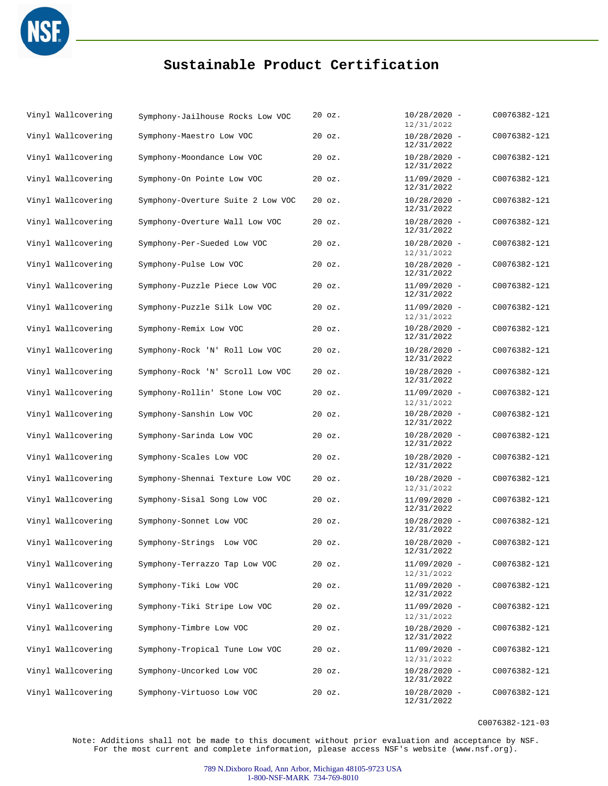

| Vinyl Wallcovering | Symphony-Jailhouse Rocks Low VOC  | $20$ $oz.$ | $10/28/2020 -$<br>12/31/2022 | C0076382-121 |
|--------------------|-----------------------------------|------------|------------------------------|--------------|
| Vinyl Wallcovering | Symphony-Maestro Low VOC          | 20 oz.     | $10/28/2020 -$<br>12/31/2022 | C0076382-121 |
| Vinyl Wallcovering | Symphony-Moondance Low VOC        | $20$ $oz.$ | $10/28/2020 -$<br>12/31/2022 | C0076382-121 |
| Vinyl Wallcovering | Symphony-On Pointe Low VOC        | $20$ $oz.$ | $11/09/2020 -$<br>12/31/2022 | C0076382-121 |
| Vinyl Wallcovering | Symphony-Overture Suite 2 Low VOC | 20 oz.     | $10/28/2020 -$<br>12/31/2022 | C0076382-121 |
| Vinyl Wallcovering | Symphony-Overture Wall Low VOC    | $20$ $oz.$ | $10/28/2020 -$<br>12/31/2022 | C0076382-121 |
| Vinyl Wallcovering | Symphony-Per-Sueded Low VOC       | 20 oz.     | $10/28/2020 -$<br>12/31/2022 | C0076382-121 |
| Vinyl Wallcovering | Symphony-Pulse Low VOC            | $20$ $oz.$ | $10/28/2020 -$<br>12/31/2022 | C0076382-121 |
| Vinyl Wallcovering | Symphony-Puzzle Piece Low VOC     | $20$ $oz.$ | $11/09/2020 -$<br>12/31/2022 | C0076382-121 |
| Vinyl Wallcovering | Symphony-Puzzle Silk Low VOC      | $20$ $oz.$ | $11/09/2020 -$<br>12/31/2022 | C0076382-121 |
| Vinyl Wallcovering | Symphony-Remix Low VOC            | 20 oz.     | $10/28/2020 -$<br>12/31/2022 | C0076382-121 |
| Vinyl Wallcovering | Symphony-Rock 'N' Roll Low VOC    | 20 oz.     | $10/28/2020 -$<br>12/31/2022 | C0076382-121 |
| Vinyl Wallcovering | Symphony-Rock 'N' Scroll Low VOC  | $20$ $oz.$ | $10/28/2020 -$<br>12/31/2022 | C0076382-121 |
| Vinyl Wallcovering | Symphony-Rollin' Stone Low VOC    | $20$ $oz.$ | $11/09/2020 -$<br>12/31/2022 | C0076382-121 |
| Vinyl Wallcovering | Symphony-Sanshin Low VOC          | 20 oz.     | $10/28/2020 -$<br>12/31/2022 | C0076382-121 |
| Vinyl Wallcovering | Symphony-Sarinda Low VOC          | 20 oz.     | $10/28/2020 -$<br>12/31/2022 | C0076382-121 |
| Vinyl Wallcovering | Symphony-Scales Low VOC           | 20 oz.     | $10/28/2020 -$<br>12/31/2022 | C0076382-121 |
| Vinyl Wallcovering | Symphony-Shennai Texture Low VOC  | $20$ $oz.$ | $10/28/2020 -$<br>12/31/2022 | C0076382-121 |
| Vinyl Wallcovering | Symphony-Sisal Song Low VOC       | $20$ $oz.$ | $11/09/2020 -$<br>12/31/2022 | C0076382-121 |
| Vinyl Wallcovering | Symphony-Sonnet Low VOC           | 20 oz.     | $10/28/2020 -$<br>12/31/2022 | C0076382-121 |
| Vinyl Wallcovering | Symphony-Strings Low VOC          | $20$ $oz.$ | $10/28/2020 -$<br>12/31/2022 | C0076382-121 |
| Vinyl Wallcovering | Symphony-Terrazzo Tap Low VOC     | $20$ $oz.$ | $11/09/2020 -$<br>12/31/2022 | C0076382-121 |
| Vinyl Wallcovering | Symphony-Tiki Low VOC             | 20 oz.     | $11/09/2020 -$<br>12/31/2022 | C0076382-121 |
| Vinyl Wallcovering | Symphony-Tiki Stripe Low VOC      | 20 oz.     | $11/09/2020 -$<br>12/31/2022 | C0076382-121 |
| Vinyl Wallcovering | Symphony-Timbre Low VOC           | $20$ $oz.$ | $10/28/2020 -$<br>12/31/2022 | C0076382-121 |
| Vinyl Wallcovering | Symphony-Tropical Tune Low VOC    | 20 oz.     | $11/09/2020 -$<br>12/31/2022 | C0076382-121 |
| Vinyl Wallcovering | Symphony-Uncorked Low VOC         | 20 oz.     | $10/28/2020 -$<br>12/31/2022 | C0076382-121 |
| Vinyl Wallcovering | Symphony-Virtuoso Low VOC         | 20 oz.     | $10/28/2020 -$<br>12/31/2022 | C0076382-121 |

C0076382-121-03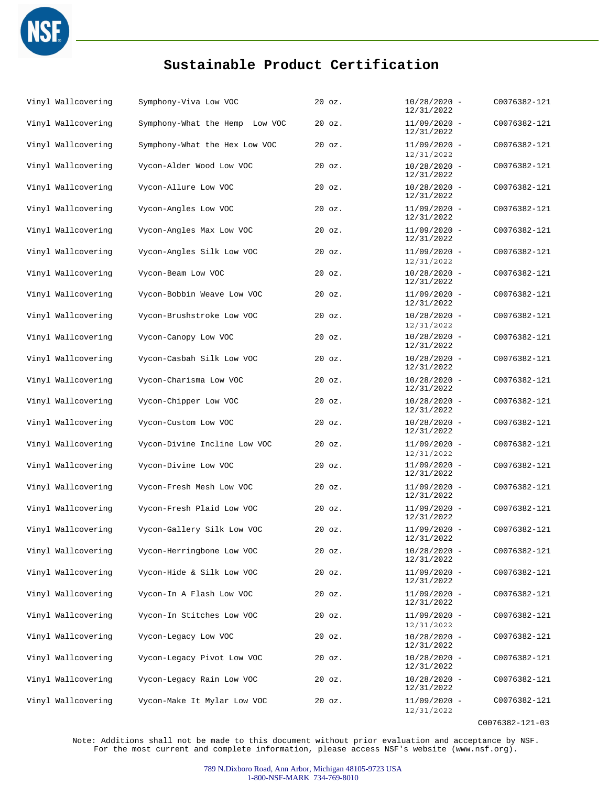

| Vinyl Wallcovering | Symphony-Viva Low VOC          | $20$ $oz.$ | $10/28/2020 -$<br>12/31/2022 | C0076382-121 |
|--------------------|--------------------------------|------------|------------------------------|--------------|
| Vinyl Wallcovering | Symphony-What the Hemp Low VOC | 20 oz.     | $11/09/2020 -$<br>12/31/2022 | C0076382-121 |
| Vinyl Wallcovering | Symphony-What the Hex Low VOC  | 20 oz.     | $11/09/2020 -$<br>12/31/2022 | C0076382-121 |
| Vinyl Wallcovering | Vycon-Alder Wood Low VOC       | 20 oz.     | $10/28/2020 -$<br>12/31/2022 | C0076382-121 |
| Vinyl Wallcovering | Vycon-Allure Low VOC           | $20$ $oz.$ | $10/28/2020 -$<br>12/31/2022 | C0076382-121 |
| Vinyl Wallcovering | Vycon-Angles Low VOC           | $20$ $oz.$ | $11/09/2020 -$<br>12/31/2022 | C0076382-121 |
| Vinyl Wallcovering | Vycon-Angles Max Low VOC       | 20 oz.     | $11/09/2020 -$<br>12/31/2022 | C0076382-121 |
| Vinyl Wallcovering | Vycon-Angles Silk Low VOC      | 20 oz.     | $11/09/2020 -$<br>12/31/2022 | C0076382-121 |
| Vinyl Wallcovering | Vycon-Beam Low VOC             | 20 oz.     | $10/28/2020 -$<br>12/31/2022 | C0076382-121 |
| Vinyl Wallcovering | Vycon-Bobbin Weave Low VOC     | 20 oz.     | $11/09/2020 -$<br>12/31/2022 | C0076382-121 |
| Vinyl Wallcovering | Vycon-Brushstroke Low VOC      | 20 oz.     | $10/28/2020 -$<br>12/31/2022 | C0076382-121 |
| Vinyl Wallcovering | Vycon-Canopy Low VOC           | $20$ $oz.$ | $10/28/2020 -$<br>12/31/2022 | C0076382-121 |
| Vinyl Wallcovering | Vycon-Casbah Silk Low VOC      | 20 oz.     | $10/28/2020 -$<br>12/31/2022 | C0076382-121 |
| Vinyl Wallcovering | Vycon-Charisma Low VOC         | $20$ $oz.$ | $10/28/2020 -$<br>12/31/2022 | C0076382-121 |
| Vinyl Wallcovering | Vycon-Chipper Low VOC          | 20 oz.     | $10/28/2020 -$<br>12/31/2022 | C0076382-121 |
| Vinyl Wallcovering | Vycon-Custom Low VOC           | 20 oz.     | $10/28/2020 -$<br>12/31/2022 | C0076382-121 |
| Vinyl Wallcovering | Vycon-Divine Incline Low VOC   | $20$ $oz.$ | $11/09/2020 -$<br>12/31/2022 | C0076382-121 |
| Vinyl Wallcovering | Vycon-Divine Low VOC           | $20$ $oz.$ | $11/09/2020 -$<br>12/31/2022 | C0076382-121 |
| Vinyl Wallcovering | Vycon-Fresh Mesh Low VOC       | $20$ $oz.$ | $11/09/2020 -$<br>12/31/2022 | C0076382-121 |
| Vinyl Wallcovering | Vycon-Fresh Plaid Low VOC      | $20$ $oz.$ | $11/09/2020 -$<br>12/31/2022 | C0076382-121 |
| Vinyl Wallcovering | Vycon-Gallery Silk Low VOC     | 20 oz.     | $11/09/2020 -$<br>12/31/2022 | C0076382-121 |
| Vinyl Wallcovering | Vycon-Herringbone Low VOC      | 20 oz.     | $10/28/2020 -$<br>12/31/2022 | C0076382-121 |
| Vinyl Wallcovering | Vycon-Hide & Silk Low VOC      | 20 oz.     | $11/09/2020 -$<br>12/31/2022 | C0076382-121 |
| Vinyl Wallcovering | Vycon-In A Flash Low VOC       | $20$ $oz.$ | $11/09/2020 -$<br>12/31/2022 | C0076382-121 |
| Vinyl Wallcovering | Vycon-In Stitches Low VOC      | $20$ $oz.$ | $11/09/2020 -$<br>12/31/2022 | C0076382-121 |
| Vinyl Wallcovering | Vycon-Legacy Low VOC           | $20$ $oz.$ | $10/28/2020 -$<br>12/31/2022 | C0076382-121 |
| Vinyl Wallcovering | Vycon-Legacy Pivot Low VOC     | 20 oz.     | $10/28/2020 -$<br>12/31/2022 | C0076382-121 |
| Vinyl Wallcovering | Vycon-Legacy Rain Low VOC      | 20 oz.     | $10/28/2020 -$<br>12/31/2022 | C0076382-121 |
| Vinyl Wallcovering | Vycon-Make It Mylar Low VOC    | 20 oz.     | $11/09/2020 -$<br>12/31/2022 | C0076382-121 |

C0076382-121-03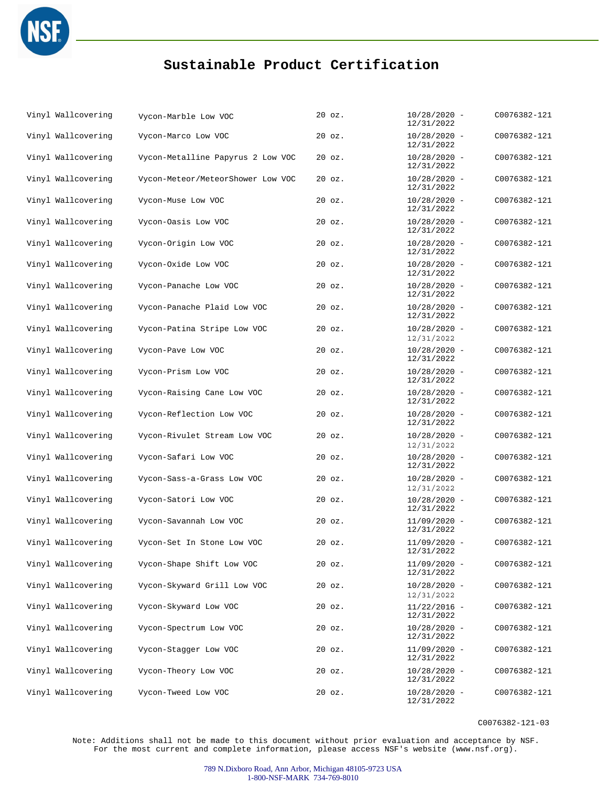

| Vinyl Wallcovering | Vycon-Marble Low VOC              | $20$ $oz.$ | $10/28/2020 -$<br>12/31/2022 | C0076382-121 |
|--------------------|-----------------------------------|------------|------------------------------|--------------|
| Vinyl Wallcovering | Vycon-Marco Low VOC               | 20 oz.     | $10/28/2020 -$<br>12/31/2022 | C0076382-121 |
| Vinyl Wallcovering | Vycon-Metalline Papyrus 2 Low VOC | $20$ $oz.$ | $10/28/2020 -$<br>12/31/2022 | C0076382-121 |
| Vinyl Wallcovering | Vycon-Meteor/MeteorShower Low VOC | $20$ $oz.$ | $10/28/2020 -$<br>12/31/2022 | C0076382-121 |
| Vinyl Wallcovering | Vycon-Muse Low VOC                | 20 oz.     | $10/28/2020 -$<br>12/31/2022 | C0076382-121 |
| Vinyl Wallcovering | Vycon-Oasis Low VOC               | 20 oz.     | $10/28/2020 -$<br>12/31/2022 | C0076382-121 |
| Vinyl Wallcovering | Vycon-Origin Low VOC              | $20$ $oz.$ | $10/28/2020 -$<br>12/31/2022 | C0076382-121 |
| Vinyl Wallcovering | Vycon-Oxide Low VOC               | 20 oz.     | $10/28/2020 -$<br>12/31/2022 | C0076382-121 |
| Vinyl Wallcovering | Vycon-Panache Low VOC             | 20 oz.     | $10/28/2020 -$<br>12/31/2022 | C0076382-121 |
| Vinyl Wallcovering | Vycon-Panache Plaid Low VOC       | $20$ $oz.$ | $10/28/2020 -$<br>12/31/2022 | C0076382-121 |
| Vinyl Wallcovering | Vycon-Patina Stripe Low VOC       | $20$ $oz.$ | $10/28/2020 -$<br>12/31/2022 | C0076382-121 |
| Vinyl Wallcovering | Vycon-Pave Low VOC                | 20 oz.     | $10/28/2020 -$<br>12/31/2022 | C0076382-121 |
| Vinyl Wallcovering | Vycon-Prism Low VOC               | $20$ $oz.$ | $10/28/2020 -$<br>12/31/2022 | C0076382-121 |
| Vinyl Wallcovering | Vycon-Raising Cane Low VOC        | $20$ $oz.$ | $10/28/2020 -$<br>12/31/2022 | C0076382-121 |
| Vinyl Wallcovering | Vycon-Reflection Low VOC          | 20 oz.     | $10/28/2020 -$<br>12/31/2022 | C0076382-121 |
| Vinyl Wallcovering | Vycon-Rivulet Stream Low VOC      | $20$ $oz.$ | $10/28/2020 -$<br>12/31/2022 | C0076382-121 |
| Vinyl Wallcovering | Vycon-Safari Low VOC              | $20$ $oz.$ | $10/28/2020 -$<br>12/31/2022 | C0076382-121 |
| Vinyl Wallcovering | Vycon-Sass-a-Grass Low VOC        | $20$ $oz.$ | $10/28/2020 -$<br>12/31/2022 | C0076382-121 |
| Vinyl Wallcovering | Vycon-Satori Low VOC              | 20 oz.     | $10/28/2020 -$<br>12/31/2022 | C0076382-121 |
| Vinyl Wallcovering | Vycon-Savannah Low VOC            | $20$ $oz.$ | $11/09/2020 -$<br>12/31/2022 | C0076382-121 |
| Vinyl Wallcovering | Vycon-Set In Stone Low VOC        | $20$ $oz.$ | $11/09/2020 -$<br>12/31/2022 | C0076382-121 |
| Vinyl Wallcovering | Vycon-Shape Shift Low VOC         | $20$ $oz.$ | $11/09/2020 -$<br>12/31/2022 | C0076382-121 |
| Vinyl Wallcovering | Vycon-Skyward Grill Low VOC       | $20$ $oz.$ | $10/28/2020 -$<br>12/31/2022 | C0076382-121 |
| Vinyl Wallcovering | Vycon-Skyward Low VOC             | 20 oz.     | $11/22/2016 -$<br>12/31/2022 | C0076382-121 |
| Vinyl Wallcovering | Vycon-Spectrum Low VOC            | $20$ $oz.$ | $10/28/2020 -$<br>12/31/2022 | C0076382-121 |
| Vinyl Wallcovering | Vycon-Stagger Low VOC             | $20$ $oz.$ | $11/09/2020 -$<br>12/31/2022 | C0076382-121 |
| Vinyl Wallcovering | Vycon-Theory Low VOC              | 20 oz.     | $10/28/2020 -$<br>12/31/2022 | C0076382-121 |
| Vinyl Wallcovering | Vycon-Tweed Low VOC               | $20$ $oz.$ | $10/28/2020 -$<br>12/31/2022 | C0076382-121 |

C0076382-121-03